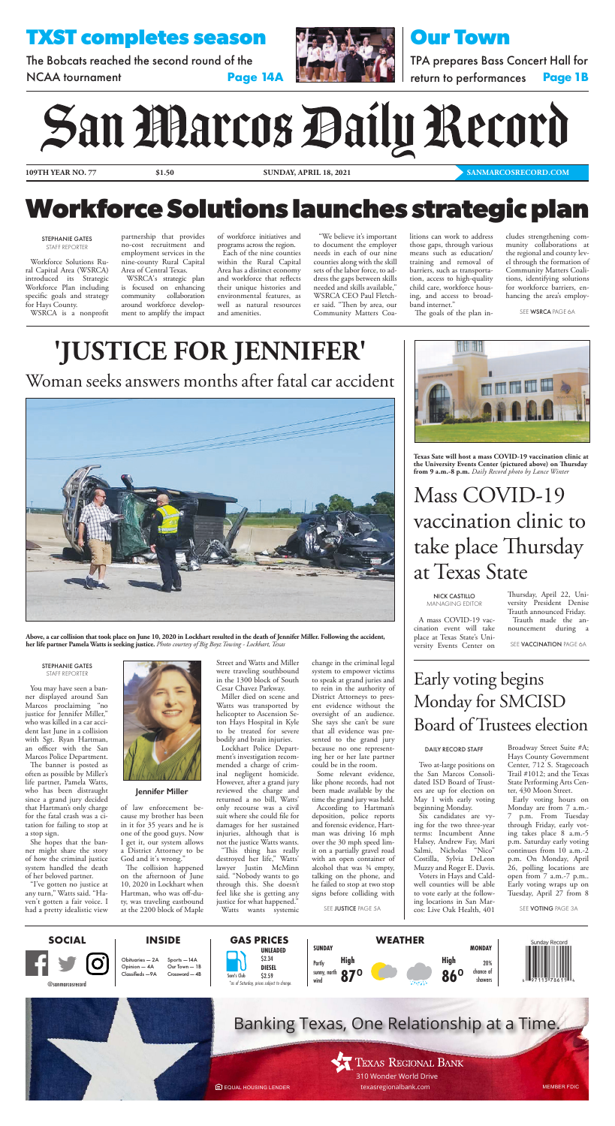# **Workforce Solutions launches strategic plan**

**109TH YEAR NO. 77 \$1.50**

**SUNDAY, APRIL 18, 2021 [SANMARCOSRECORD.COM](https://www.sanmarcosrecord.com/)** 

Woman seeks answers months after fatal car accident



**Above, a car collision that took place on June 10, 2020 in Lockhart resulted in the death of Jennifer Miller. Following the accident,** 

**her life partner Pamela Watts is seeking justice.** *Photo courtesy of Big Boyz Towing - Lockhart, Texas*

#### STEPHANIE GATES STAFF REPORTER

SEE JUSTICE PAGE 5A

Workforce Solutions Rural Capital Area (WSRCA) introduced its Strategic Workforce Plan including specific goals and strategy for Hays County.

WSRCA is a nonprofit

partnership that provides no-cost recruitment and employment services in the nine-county Rural Capital Area of Central Texas.

The Bobcats reached the second round of the NCAA tournament **Page 14A** 



WSRCA's strategic plan is focused on enhancing community collaboration around workforce development to amplify the impact

of workforce initiatives and programs across the region.



Each of the nine counties within the Rural Capital Area has a distinct economy and workforce that reflects their unique histories and environmental features, as well as natural resources and amenities.

"We believe it's important to document the employer needs in each of our nine counties along with the skill sets of the labor force, to address the gaps between skills needed and skills available," WSRCA CEO Paul Fletcher said. "Then by area, our Community Matters Coalitions can work to address those gaps, through various means such as education/ training and removal of barriers, such as transportation, access to high-quality child care, workforce housing, and access to broadband internet." The goals of the plan in-

cludes strengthening community collaborations at the regional and county level through the formation of Community Matters Coalitions, identifying solutions for workforce barriers, enhancing the area's employ-

SEE WSRCA [PAGE 6A](#page-1-0)

# **TXST completes season**

# **Our Town**

TPA prepares Bass Concert Hall for return to performances **Page 1B**

# San Marcos Daily Record

EQUAL HOUSING LENDER MEMBER FDIC [texasregionalbank.com](https://www.texasregionalbank.com/)

#### **Jennifer Miller**

You may have seen a banner displayed around San Marcos proclaiming "no justice for Jennifer Miller," who was killed in a car accident last June in a collision with Sgt. Ryan Hartman, an officer with the San Marcos Police Department.

The banner is posted as often as possible by Miller's life partner, Pamela Watts, who has been distraught since a grand jury decided that Hartman's only charge for the fatal crash was a citation for failing to stop at a stop sign.

She hopes that the banner might share the story of how the criminal justice system handled the death of her beloved partner.

"I've gotten no justice at any turn," Watts said. "Haven't gotten a fair voice. I had a pretty idealistic view



of law enforcement because my brother has been in it for 35 years and he is one of the good guys. Now I get it, our system allows a District Attorney to be God and it's wrong."

NICK CASTILLO MANAGING EDITOR

The collision happened on the afternoon of June 10, 2020 in Lockhart when Hartman, who was off-duty, was traveling eastbound at the 2200 block of Maple

Street and Watts and Miller were traveling southbound in the 1300 block of South Cesar Chavez Parkway.

Miller died on scene and Watts was transported by helicopter to Ascension Seton Hays Hospital in Kyle to be treated for severe bodily and brain injuries.

Lockhart Police Department's investigation recommended a charge of criminal negligent homicide. However, after a grand jury reviewed the charge and returned a no bill, Watts' only recourse was a civil suit where she could file for damages for her sustained injuries, although that is not the justice Watts wants.

"This thing has really destroyed her life," Watts' lawyer Justin McMinn said. "Nobody wants to go through this. She doesn't feel like she is getting any justice for what happened." Watts wants systemic change in the criminal legal system to empower victims to speak at grand juries and to rein in the authority of District Attorneys to present evidence without the oversight of an audience. She says she can't be sure that all evidence was presented to the grand jury because no one representing her or her late partner could be in the room.

Some relevant evidence, like phone records, had not been made available by the time the grand jury was held. According to Hartman's deposition, police reports and forensic evidence, Hartman was driving 16 mph over the 30 mph speed limit on a partially gravel road with an open container of alcohol that was ¾ empty, talking on the phone, and he failed to stop at two stop signs before colliding with

Mass COVID-19 vaccination clinic to take place Thursday at Texas State

A mass COVID-19 vaccination event will take place at Texas State's Uni-

versity Events Center on

SEE **VACCINATION** PAGE 6A

Thursday, April 22, University President Denise Trauth announced Friday. Trauth made the announcement during a



**Texas Sate will host a mass COVID-19 vaccination clinic at the University Events Center (pictured above) on Thursday from 9 a.m.-8 p.m.** *Daily Record photo by Lance Winter*

# Early voting begins Monday for SMCISD Board of Trustees election

Two at-large positions on the San Marcos Consolidated ISD Board of Trustees are up for election on May 1 with early voting beginning Monday.

Six candidates are vying for the two three-year terms: Incumbent Anne Halsey, Andrew Fay, Mari Salmi, Nicholas "Nico" Costilla, Sylvia DeLeon Muzzy and Roger E. Davis.

Voters in Hays and Caldwell counties will be able to vote early at the following locations in San Marcos: Live Oak Health, 401

Broadway Street Suite #A; Hays County Government Center, 712 S. Stagecoach Trail #1012; and the Texas State Performing Arts Center, 430 Moon Street.

Early voting hours on Monday are from 7 a.m.- 7 p.m. From Tuesday through Friday, early voting takes place 8 a.m.-5 p.m. Saturday early voting continues from 10 a.m.-2 p.m. On Monday, April 26, polling locations are open from 7 a.m.-7 p.m.. Early voting wraps up on Tuesday, April 27 from 8

SEE VOTING PAGE 3A

#### DAILY RECORD STAFF

#### STEPHANIE GATES STAFF REPORTER

# **'JUSTICE FOR JENNIFER'**